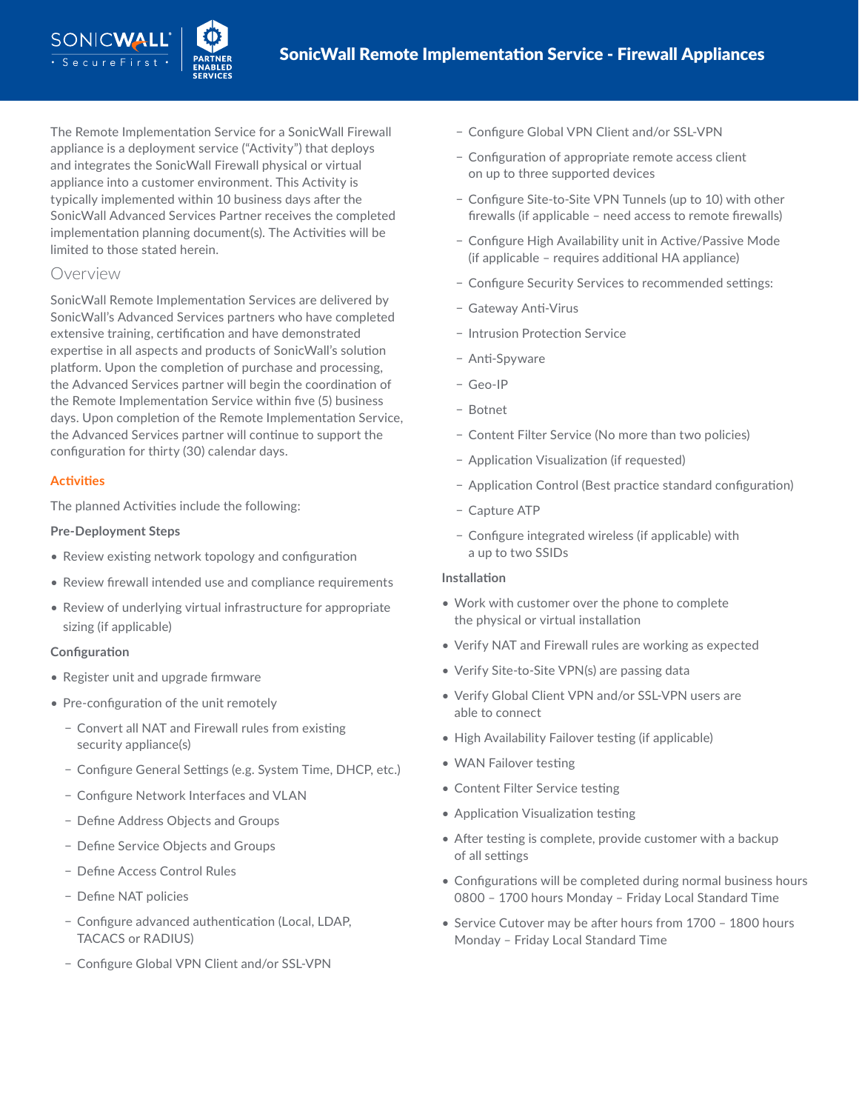The Remote Implementation Service for a SonicWall Firewall appliance is a deployment service ("Activity") that deploys and integrates the SonicWall Firewall physical or virtual appliance into a customer environment. This Activity is typically implemented within 10 business days after the SonicWall Advanced Services Partner receives the completed implementation planning document(s). The Activities will be limited to those stated herein.

## Overview

SonicWall Remote Implementation Services are delivered by SonicWall's Advanced Services partners who have completed extensive training, certification and have demonstrated expertise in all aspects and products of SonicWall's solution platform. Upon the completion of purchase and processing, the Advanced Services partner will begin the coordination of the Remote Implementation Service within five (5) business days. Upon completion of the Remote Implementation Service, the Advanced Services partner will continue to support the configuration for thirty (30) calendar days.

## **Activities**

The planned Activities include the following:

## **Pre-Deployment Steps**

- Review existing network topology and configuration
- Review firewall intended use and compliance requirements
- Review of underlying virtual infrastructure for appropriate sizing (if applicable)

## **Configuration**

- Register unit and upgrade firmware
- Pre-configuration of the unit remotely
	- − Convert all NAT and Firewall rules from existing security appliance(s)
	- − Configure General Settings (e.g. System Time, DHCP, etc.)
	- − Configure Network Interfaces and VLAN
	- − Define Address Objects and Groups
	- − Define Service Objects and Groups
	- − Define Access Control Rules
	- − Define NAT policies
	- − Configure advanced authentication (Local, LDAP, TACACS or RADIUS)
	- − Configure Global VPN Client and/or SSL-VPN
- − Configure Global VPN Client and/or SSL-VPN
- − Configuration of appropriate remote access client on up to three supported devices
- − Configure Site-to-Site VPN Tunnels (up to 10) with other firewalls (if applicable – need access to remote firewalls)
- − Configure High Availability unit in Active/Passive Mode (if applicable – requires additional HA appliance)
- − Configure Security Services to recommended settings:
- − Gateway Anti-Virus
- − Intrusion Protection Service
- − Anti-Spyware
- − Geo-IP
- − Botnet
- − Content Filter Service (No more than two policies)
- − Application Visualization (if requested)
- − Application Control (Best practice standard configuration)
- − Capture ATP
- − Configure integrated wireless (if applicable) with a up to two SSIDs

#### **Installation**

- Work with customer over the phone to complete the physical or virtual installation
- Verify NAT and Firewall rules are working as expected
- Verify Site-to-Site VPN(s) are passing data
- Verify Global Client VPN and/or SSL-VPN users are able to connect
- High Availability Failover testing (if applicable)
- WAN Failover testing
- Content Filter Service testing
- Application Visualization testing
- After testing is complete, provide customer with a backup of all settings
- Configurations will be completed during normal business hours 0800 – 1700 hours Monday – Friday Local Standard Time
- Service Cutover may be after hours from 1700 1800 hours Monday – Friday Local Standard Time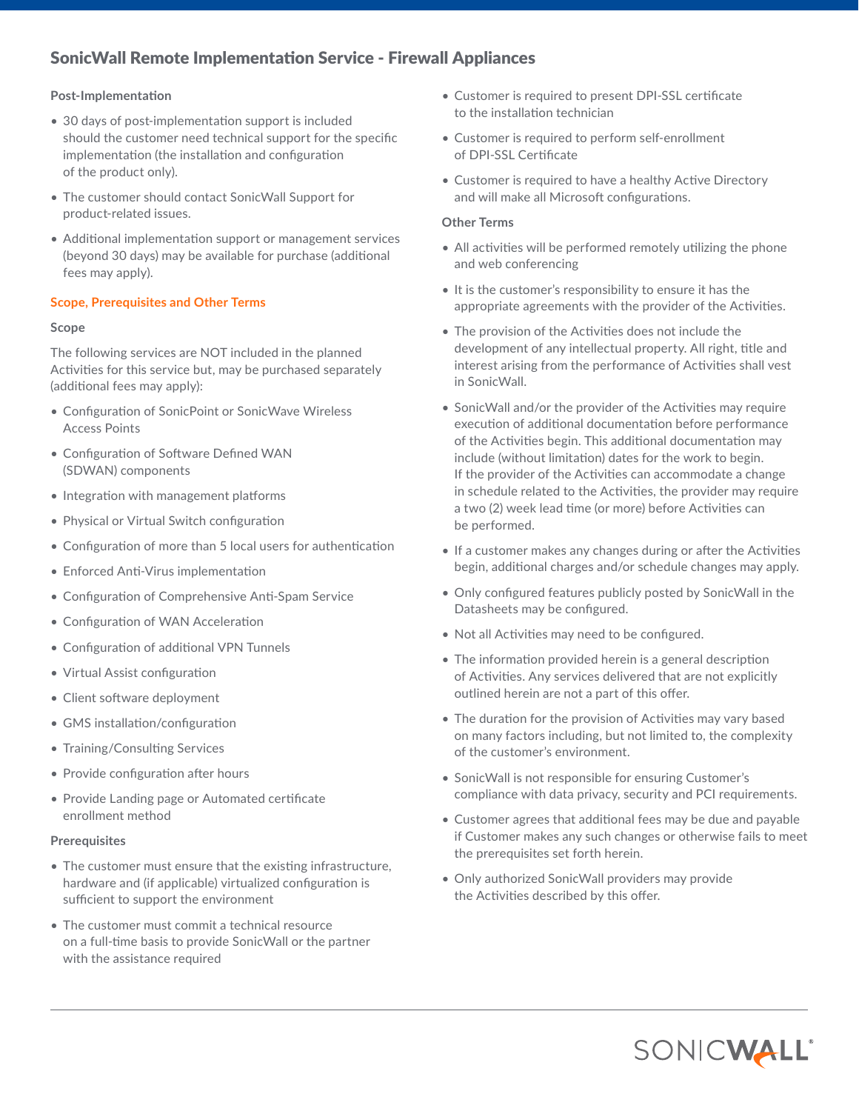## SonicWall Remote Implementation Service - Firewall Appliances

#### **Post-Implementation**

- 30 days of post-implementation support is included should the customer need technical support for the specific implementation (the installation and configuration of the product only).
- The customer should contact SonicWall Support for product-related issues.
- Additional implementation support or management services (beyond 30 days) may be available for purchase (additional fees may apply).

#### **Scope, Prerequisites and Other Terms**

#### **Scope**

The following services are NOT included in the planned Activities for this service but, may be purchased separately (additional fees may apply):

- Configuration of SonicPoint or SonicWave Wireless Access Points
- Configuration of Software Defined WAN (SDWAN) components
- Integration with management platforms
- Physical or Virtual Switch configuration
- Configuration of more than 5 local users for authentication
- Enforced Anti-Virus implementation
- Configuration of Comprehensive Anti-Spam Service
- Configuration of WAN Acceleration
- Configuration of additional VPN Tunnels
- Virtual Assist configuration
- Client software deployment
- GMS installation/configuration
- Training/Consulting Services
- Provide configuration after hours
- Provide Landing page or Automated certificate enrollment method

#### **Prerequisites**

- The customer must ensure that the existing infrastructure, hardware and (if applicable) virtualized configuration is sufficient to support the environment
- The customer must commit a technical resource on a full-time basis to provide SonicWall or the partner with the assistance required
- Customer is required to present DPI-SSL certificate to the installation technician
- Customer is required to perform self-enrollment of DPI-SSL Certificate
- Customer is required to have a healthy Active Directory and will make all Microsoft configurations.

#### **Other Terms**

- All activities will be performed remotely utilizing the phone and web conferencing
- It is the customer's responsibility to ensure it has the appropriate agreements with the provider of the Activities.
- The provision of the Activities does not include the development of any intellectual property. All right, title and interest arising from the performance of Activities shall vest in SonicWall.
- SonicWall and/or the provider of the Activities may require execution of additional documentation before performance of the Activities begin. This additional documentation may include (without limitation) dates for the work to begin. If the provider of the Activities can accommodate a change in schedule related to the Activities, the provider may require a two (2) week lead time (or more) before Activities can be performed.
- If a customer makes any changes during or after the Activities begin, additional charges and/or schedule changes may apply.
- Only configured features publicly posted by SonicWall in the Datasheets may be configured.
- Not all Activities may need to be configured.
- The information provided herein is a general description of Activities. Any services delivered that are not explicitly outlined herein are not a part of this offer.
- The duration for the provision of Activities may vary based on many factors including, but not limited to, the complexity of the customer's environment.
- SonicWall is not responsible for ensuring Customer's compliance with data privacy, security and PCI requirements.
- Customer agrees that additional fees may be due and payable if Customer makes any such changes or otherwise fails to meet the prerequisites set forth herein.
- Only authorized SonicWall providers may provide the Activities described by this offer.

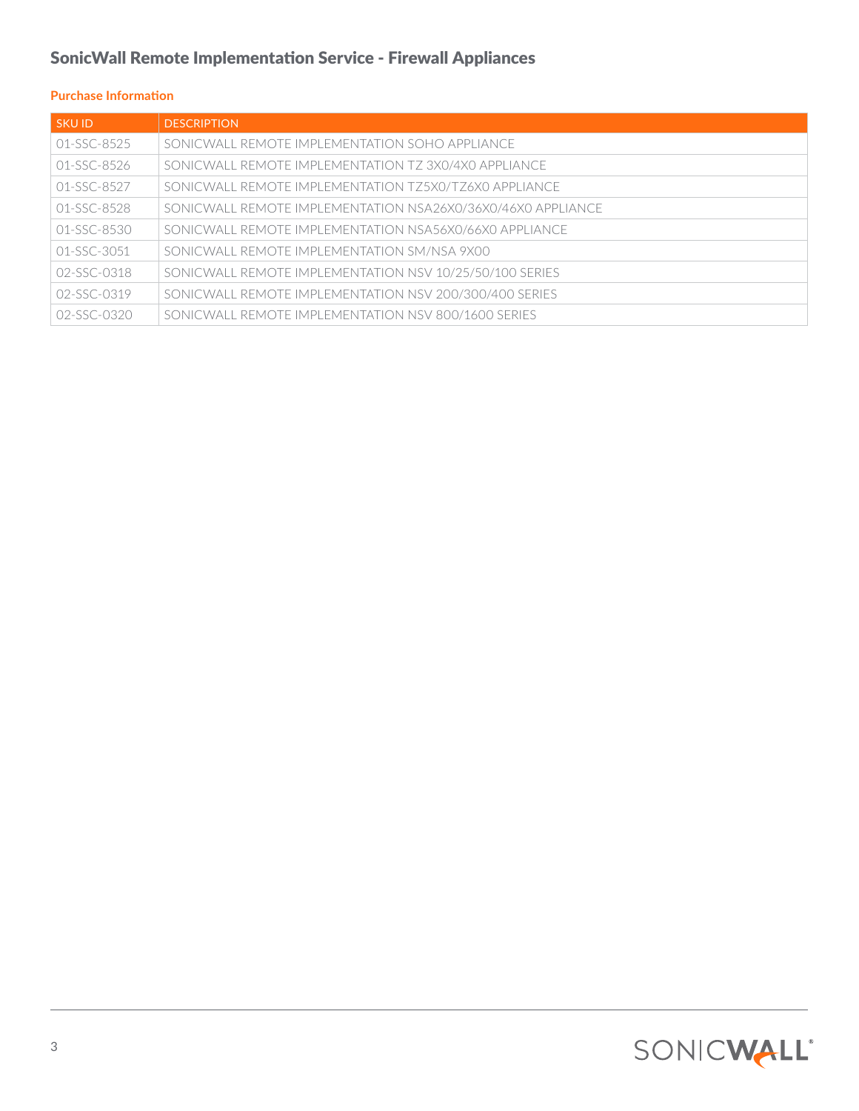# SonicWall Remote Implementation Service - Firewall Appliances

## **Purchase Information**

| <b>SKUID</b>      | <b>DESCRIPTION</b>                                          |
|-------------------|-------------------------------------------------------------|
| 01-SSC-8525       | SONICWALL REMOTE IMPLEMENTATION SOHO APPLIANCE              |
| 01-SSC-8526       | SONICWALL REMOTE IMPLEMENTATION TZ 3X0/4X0 APPLIANCE        |
| 01-SSC-8527       | SONICWALL REMOTE IMPLEMENTATION T75X0/T76X0 APPLIANCE       |
| $01 - SSC - 8528$ | SONICWALL REMOTE IMPLEMENTATION NSA26X0/36X0/46X0 APPLIANCE |
| 01-SSC-8530       | SONICWALL REMOTE IMPLEMENTATION NSA56X0/66X0 APPLIANCE      |
| 01-SSC-3051       | SONICWALL REMOTE IMPLEMENTATION SM/NSA 9X00                 |
| 02-SSC-0318       | SONICWALL REMOTE IMPLEMENTATION NSV 10/25/50/100 SERIES     |
| 02-SSC-0319       | SONICWALL REMOTE IMPLEMENTATION NSV 200/300/400 SERIES      |
| 02-SSC-0320       | SONICWALL REMOTE IMPLEMENTATION NSV 800/1600 SERIES         |